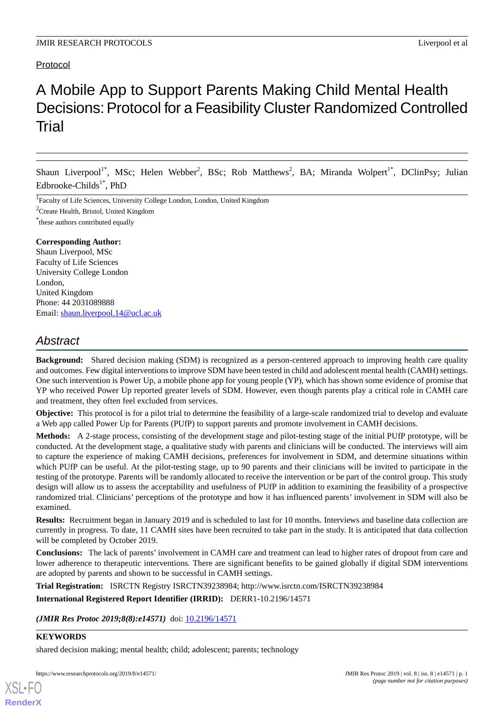# Protocol

# A Mobile App to Support Parents Making Child Mental Health Decisions: Protocol for a Feasibility Cluster Randomized Controlled Trial

Shaun Liverpool<sup>1\*</sup>, MSc; Helen Webber<sup>2</sup>, BSc; Rob Matthews<sup>2</sup>, BA; Miranda Wolpert<sup>1\*</sup>, DClinPsy; Julian Edbrooke-Childs<sup>1\*</sup>, PhD

<sup>1</sup>Faculty of Life Sciences, University College London, London, United Kingdom

 ${}^{2}$ Create Health, Bristol, United Kingdom

\* these authors contributed equally

#### **Corresponding Author:**

Shaun Liverpool, MSc Faculty of Life Sciences University College London London, United Kingdom Phone: 44 2031089888 Email: [shaun.liverpool.14@ucl.ac.uk](mailto:shaun.liverpool.14@ucl.ac.uk)

# *Abstract*

**Background:** Shared decision making (SDM) is recognized as a person-centered approach to improving health care quality and outcomes. Few digital interventions to improve SDM have been tested in child and adolescent mental health (CAMH) settings. One such intervention is Power Up, a mobile phone app for young people (YP), which has shown some evidence of promise that YP who received Power Up reported greater levels of SDM. However, even though parents play a critical role in CAMH care and treatment, they often feel excluded from services.

**Objective:** This protocol is for a pilot trial to determine the feasibility of a large-scale randomized trial to develop and evaluate a Web app called Power Up for Parents (PUfP) to support parents and promote involvement in CAMH decisions.

**Methods:** A 2-stage process, consisting of the development stage and pilot-testing stage of the initial PUfP prototype, will be conducted. At the development stage, a qualitative study with parents and clinicians will be conducted. The interviews will aim to capture the experience of making CAMH decisions, preferences for involvement in SDM, and determine situations within which PUfP can be useful. At the pilot-testing stage, up to 90 parents and their clinicians will be invited to participate in the testing of the prototype. Parents will be randomly allocated to receive the intervention or be part of the control group. This study design will allow us to assess the acceptability and usefulness of PUfP in addition to examining the feasibility of a prospective randomized trial. Clinicians' perceptions of the prototype and how it has influenced parents' involvement in SDM will also be examined.

**Results:** Recruitment began in January 2019 and is scheduled to last for 10 months. Interviews and baseline data collection are currently in progress. To date, 11 CAMH sites have been recruited to take part in the study. It is anticipated that data collection will be completed by October 2019.

**Conclusions:** The lack of parents' involvement in CAMH care and treatment can lead to higher rates of dropout from care and lower adherence to therapeutic interventions. There are significant benefits to be gained globally if digital SDM interventions are adopted by parents and shown to be successful in CAMH settings.

**Trial Registration:** ISRCTN Registry ISRCTN39238984; http://www.isrctn.com/ISRCTN39238984

**International Registered Report Identifier (IRRID):** DERR1-10.2196/14571

(JMIR Res Protoc 2019;8(8):e14571) doi: [10.2196/14571](http://dx.doi.org/10.2196/14571)

#### **KEYWORDS**

[XSL](http://www.w3.org/Style/XSL)•FO **[RenderX](http://www.renderx.com/)**

shared decision making; mental health; child; adolescent; parents; technology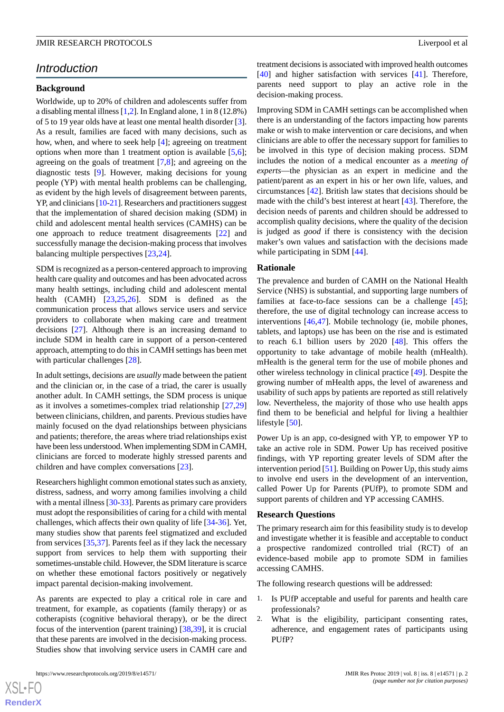# *Introduction*

#### **Background**

Worldwide, up to 20% of children and adolescents suffer from a disabling mental illness [[1,](#page-10-0)[2](#page-10-1)]. In England alone, 1 in 8 (12.8%) of 5 to 19 year olds have at least one mental health disorder [[3\]](#page-11-0). As a result, families are faced with many decisions, such as how, when, and where to seek help [[4\]](#page-11-1); agreeing on treatment options when more than 1 treatment option is available  $[5,6]$  $[5,6]$ ; agreeing on the goals of treatment [\[7](#page-11-4)[,8\]](#page-11-5); and agreeing on the diagnostic tests [\[9\]](#page-11-6). However, making decisions for young people (YP) with mental health problems can be challenging, as evident by the high levels of disagreement between parents, YP, and clinicians [[10](#page-11-7)-[21](#page-11-8)]. Researchers and practitioners suggest that the implementation of shared decision making (SDM) in child and adolescent mental health services (CAMHS) can be one approach to reduce treatment disagreements [\[22](#page-11-9)] and successfully manage the decision-making process that involves balancing multiple perspectives [[23,](#page-11-10)[24](#page-11-11)].

SDM is recognized as a person-centered approach to improving health care quality and outcomes and has been advocated across many health settings, including child and adolescent mental health (CAMH) [[23,](#page-11-10)[25](#page-11-12),[26\]](#page-12-0). SDM is defined as the communication process that allows service users and service providers to collaborate when making care and treatment decisions [[27\]](#page-12-1). Although there is an increasing demand to include SDM in health care in support of a person-centered approach, attempting to do this in CAMH settings has been met with particular challenges [[28\]](#page-12-2).

In adult settings, decisions are *usually* made between the patient and the clinician or, in the case of a triad, the carer is usually another adult. In CAMH settings, the SDM process is unique as it involves a sometimes-complex triad relationship [[27](#page-12-1)[,29](#page-12-3)] between clinicians, children, and parents. Previous studies have mainly focused on the dyad relationships between physicians and patients; therefore, the areas where triad relationships exist have been less understood. When implementing SDM in CAMH, clinicians are forced to moderate highly stressed parents and children and have complex conversations [[23\]](#page-11-10).

Researchers highlight common emotional states such as anxiety, distress, sadness, and worry among families involving a child with a mental illness [[30](#page-12-4)[-33](#page-12-5)]. Parents as primary care providers must adopt the responsibilities of caring for a child with mental challenges, which affects their own quality of life [\[34](#page-12-6)-[36\]](#page-12-7). Yet, many studies show that parents feel stigmatized and excluded from services [[35](#page-12-8)[,37](#page-12-9)]. Parents feel as if they lack the necessary support from services to help them with supporting their sometimes-unstable child. However, the SDM literature is scarce on whether these emotional factors positively or negatively impact parental decision-making involvement.

As parents are expected to play a critical role in care and treatment, for example, as copatients (family therapy) or as cotherapists (cognitive behavioral therapy), or be the direct focus of the intervention (parent training) [[38,](#page-12-10)[39](#page-12-11)], it is crucial that these parents are involved in the decision-making process. Studies show that involving service users in CAMH care and

treatment decisions is associated with improved health outcomes [[40\]](#page-12-12) and higher satisfaction with services [[41\]](#page-12-13). Therefore, parents need support to play an active role in the decision-making process.

Improving SDM in CAMH settings can be accomplished when there is an understanding of the factors impacting how parents make or wish to make intervention or care decisions, and when clinicians are able to offer the necessary support for families to be involved in this type of decision making process. SDM includes the notion of a medical encounter as a *meeting of experts*—the physician as an expert in medicine and the patient/parent as an expert in his or her own life, values, and circumstances [\[42](#page-12-14)]. British law states that decisions should be made with the child's best interest at heart [[43\]](#page-12-15). Therefore, the decision needs of parents and children should be addressed to accomplish quality decisions, where the quality of the decision is judged as *good* if there is consistency with the decision maker's own values and satisfaction with the decisions made while participating in SDM [\[44](#page-12-16)].

#### **Rationale**

The prevalence and burden of CAMH on the National Health Service (NHS) is substantial, and supporting large numbers of families at face-to-face sessions can be a challenge [[45\]](#page-12-17); therefore, the use of digital technology can increase access to interventions [\[46](#page-12-18),[47\]](#page-12-19). Mobile technology (ie, mobile phones, tablets, and laptops) use has been on the rise and is estimated to reach 6.1 billion users by 2020 [\[48](#page-13-0)]. This offers the opportunity to take advantage of mobile health (mHealth). mHealth is the general term for the use of mobile phones and other wireless technology in clinical practice [\[49](#page-13-1)]. Despite the growing number of mHealth apps, the level of awareness and usability of such apps by patients are reported as still relatively low. Nevertheless, the majority of those who use health apps find them to be beneficial and helpful for living a healthier lifestyle [[50\]](#page-13-2).

Power Up is an app, co-designed with YP, to empower YP to take an active role in SDM. Power Up has received positive findings, with YP reporting greater levels of SDM after the intervention period [\[51](#page-13-3)]. Building on Power Up, this study aims to involve end users in the development of an intervention, called Power Up for Parents (PUfP), to promote SDM and support parents of children and YP accessing CAMHS.

#### **Research Questions**

The primary research aim for this feasibility study is to develop and investigate whether it is feasible and acceptable to conduct a prospective randomized controlled trial (RCT) of an evidence-based mobile app to promote SDM in families accessing CAMHS.

The following research questions will be addressed:

- 1. Is PUfP acceptable and useful for parents and health care professionals?
- 2. What is the eligibility, participant consenting rates, adherence, and engagement rates of participants using PUfP?

 $XS$  • FO **[RenderX](http://www.renderx.com/)**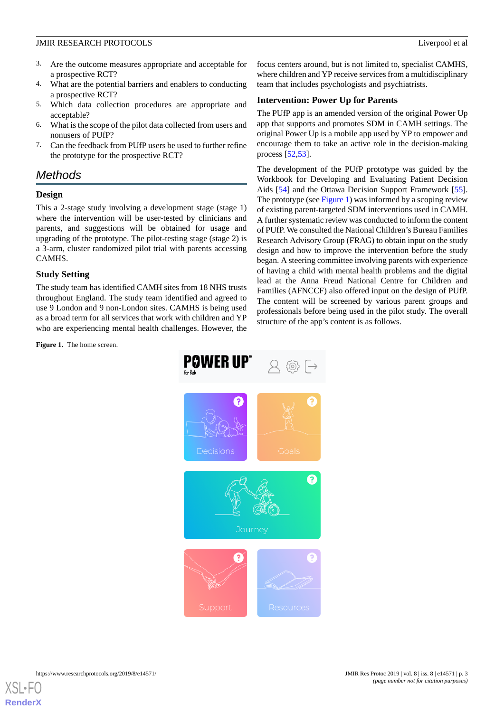- 3. Are the outcome measures appropriate and acceptable for a prospective RCT?
- 4. What are the potential barriers and enablers to conducting a prospective RCT?
- 5. Which data collection procedures are appropriate and acceptable?
- 6. What is the scope of the pilot data collected from users and nonusers of PUfP?
- 7. Can the feedback from PUfP users be used to further refine the prototype for the prospective RCT?

# *Methods*

### **Design**

This a 2-stage study involving a development stage (stage 1) where the intervention will be user-tested by clinicians and parents, and suggestions will be obtained for usage and upgrading of the prototype. The pilot-testing stage (stage 2) is a 3-arm, cluster randomized pilot trial with parents accessing CAMHS.

### **Study Setting**

<span id="page-2-0"></span>The study team has identified CAMH sites from 18 NHS trusts throughout England. The study team identified and agreed to use 9 London and 9 non-London sites. CAMHS is being used as a broad term for all services that work with children and YP who are experiencing mental health challenges. However, the

**Figure 1.** The home screen.

focus centers around, but is not limited to, specialist CAMHS, where children and YP receive services from a multidisciplinary team that includes psychologists and psychiatrists.

### **Intervention: Power Up for Parents**

The PUfP app is an amended version of the original Power Up app that supports and promotes SDM in CAMH settings. The original Power Up is a mobile app used by YP to empower and encourage them to take an active role in the decision-making process [[52,](#page-13-4)[53\]](#page-13-5).

The development of the PUfP prototype was guided by the Workbook for Developing and Evaluating Patient Decision Aids [\[54](#page-13-6)] and the Ottawa Decision Support Framework [[55\]](#page-13-7). The prototype (see [Figure 1\)](#page-2-0) was informed by a scoping review of existing parent-targeted SDM interventions used in CAMH. A further systematic review was conducted to inform the content of PUfP. We consulted the National Children's Bureau Families Research Advisory Group (FRAG) to obtain input on the study design and how to improve the intervention before the study began. A steering committee involving parents with experience of having a child with mental health problems and the digital lead at the Anna Freud National Centre for Children and Families (AFNCCF) also offered input on the design of PUfP. The content will be screened by various parent groups and professionals before being used in the pilot study. The overall structure of the app's content is as follows.

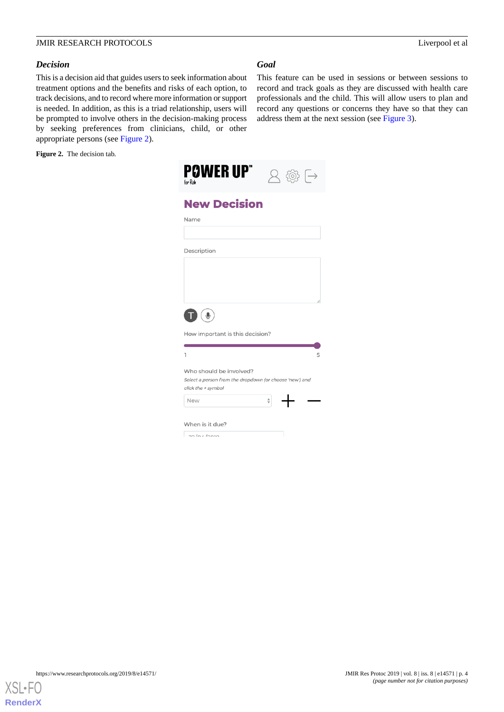This feature can be used in sessions or between sessions to record and track goals as they are discussed with health care professionals and the child. This will allow users to plan and record any questions or concerns they have so that they can

address them at the next session (see [Figure 3](#page-4-0)).

#### *Decision*

This is a decision aid that guides users to seek information about treatment options and the benefits and risks of each option, to track decisions, and to record where more information or support is needed. In addition, as this is a triad relationship, users will be prompted to involve others in the decision-making process by seeking preferences from clinicians, child, or other appropriate persons (see [Figure 2\)](#page-3-0).

<span id="page-3-0"></span>**Figure 2.** The decision tab.

| <b>POWER UP"</b><br>for Rob                                                   | $\bar{\rightarrow}$<br><b>)</b> 전 |
|-------------------------------------------------------------------------------|-----------------------------------|
| <b>New Decision</b>                                                           |                                   |
| Name                                                                          |                                   |
|                                                                               |                                   |
| Description                                                                   |                                   |
|                                                                               |                                   |
|                                                                               |                                   |
|                                                                               |                                   |
| ♦                                                                             |                                   |
| How important is this decision?                                               |                                   |
| ı                                                                             | 5                                 |
| Who should be involved?                                                       |                                   |
| Select a person from the dropdown (or choose 'new') and<br>click the + symbol |                                   |
| New                                                                           | $\div$                            |
| When is it due?                                                               |                                   |
| 22/21                                                                         |                                   |

*Goal*

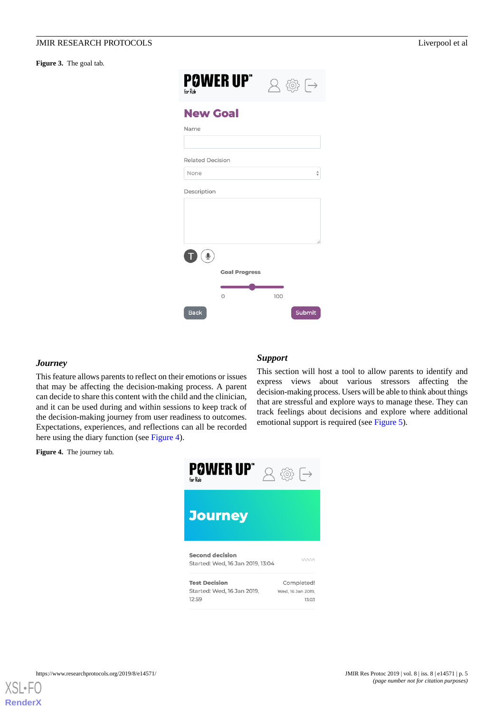#### <span id="page-4-0"></span>Figure 3. The goal tab.

| <b>POWER UP"</b><br>for Rob |                      |     | $2 \circledcirc$ $\rightarrow$    |
|-----------------------------|----------------------|-----|-----------------------------------|
| <b>New Goal</b>             |                      |     |                                   |
| Name                        |                      |     |                                   |
| <b>Related Decision</b>     |                      |     |                                   |
| None                        |                      |     | $\frac{\triangle}{\triangledown}$ |
| Description                 |                      |     |                                   |
|                             |                      |     |                                   |
|                             |                      |     |                                   |
|                             |                      |     |                                   |
| $\overline{\mathbb{Q}}$     |                      |     |                                   |
|                             | <b>Goal Progress</b> |     |                                   |
|                             |                      |     |                                   |
|                             | $\Omega$             | 100 |                                   |
| <b>Back</b>                 |                      |     | Submit                            |

#### *Journey*

<span id="page-4-1"></span>This feature allows parents to reflect on their emotions or issues that may be affecting the decision-making process. A parent can decide to share this content with the child and the clinician, and it can be used during and within sessions to keep track of the decision-making journey from user readiness to outcomes. Expectations, experiences, and reflections can all be recorded here using the diary function (see [Figure 4](#page-4-1)).

**Figure 4.** The journey tab.

#### *Support*

This section will host a tool to allow parents to identify and express views about various stressors affecting the decision-making process. Users will be able to think about things that are stressful and explore ways to manage these. They can track feelings about decisions and explore where additional emotional support is required (see [Figure 5\)](#page-5-0).

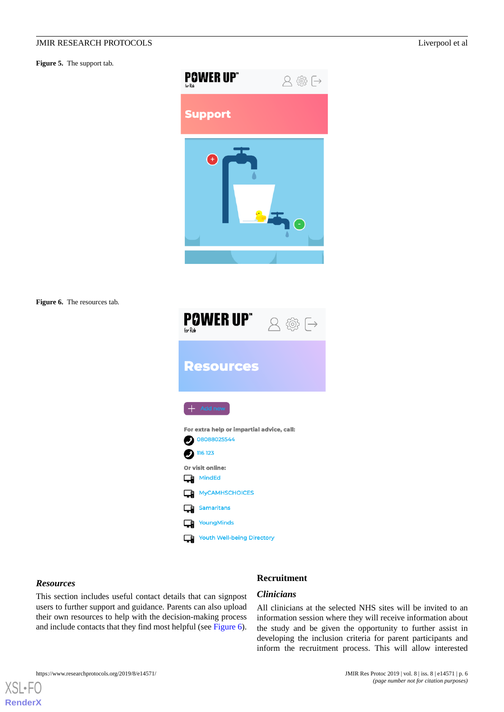<span id="page-5-0"></span>**Figure 5.** The support tab.



<span id="page-5-1"></span>**Figure 6.** The resources tab.



#### *Resources*

[XSL](http://www.w3.org/Style/XSL)•FC **[RenderX](http://www.renderx.com/)**

This section includes useful contact details that can signpost users to further support and guidance. Parents can also upload their own resources to help with the decision-making process and include contacts that they find most helpful (see [Figure 6\)](#page-5-1).

#### **Recruitment**

#### *Clinicians*

All clinicians at the selected NHS sites will be invited to an information session where they will receive information about the study and be given the opportunity to further assist in developing the inclusion criteria for parent participants and inform the recruitment process. This will allow interested



*(page number not for citation purposes)*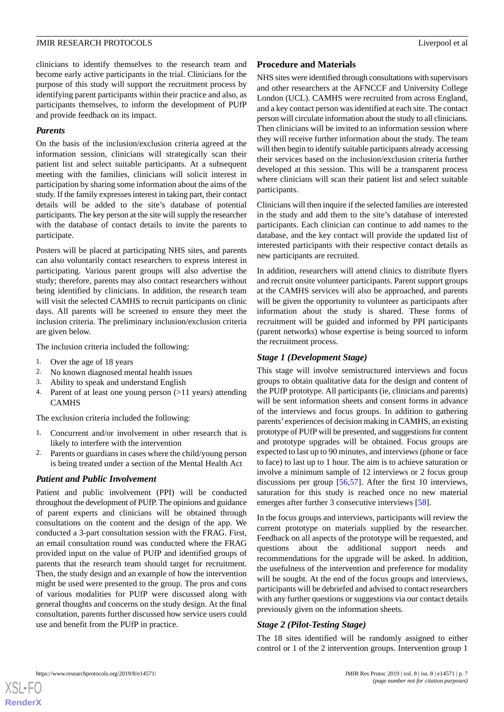clinicians to identify themselves to the research team and become early active participants in the trial. Clinicians for the purpose of this study will support the recruitment process by identifying parent participants within their practice and also, as participants themselves, to inform the development of PUfP and provide feedback on its impact.

#### *Parents*

On the basis of the inclusion/exclusion criteria agreed at the information session, clinicians will strategically scan their patient list and select suitable participants. At a subsequent meeting with the families, clinicians will solicit interest in participation by sharing some information about the aims of the study. If the family expresses interest in taking part, their contact details will be added to the site's database of potential participants. The key person at the site will supply the researcher with the database of contact details to invite the parents to participate.

Posters will be placed at participating NHS sites, and parents can also voluntarily contact researchers to express interest in participating. Various parent groups will also advertise the study; therefore, parents may also contact researchers without being identified by clinicians. In addition, the research team will visit the selected CAMHS to recruit participants on clinic days. All parents will be screened to ensure they meet the inclusion criteria. The preliminary inclusion/exclusion criteria are given below.

The inclusion criteria included the following:

- 1. Over the age of 18 years
- 2. No known diagnosed mental health issues
- 3. Ability to speak and understand English
- 4. Parent of at least one young person (>11 years) attending **CAMHS**

The exclusion criteria included the following:

- 1. Concurrent and/or involvement in other research that is likely to interfere with the intervention
- Parents or guardians in cases where the child/young person is being treated under a section of the Mental Health Act

### *Patient and Public Involvement*

Patient and public involvement (PPI) will be conducted throughout the development of PUfP. The opinions and guidance of parent experts and clinicians will be obtained through consultations on the content and the design of the app. We conducted a 3-part consultation session with the FRAG. First, an email consultation round was conducted where the FRAG provided input on the value of PUfP and identified groups of parents that the research team should target for recruitment. Then, the study design and an example of how the intervention might be used were presented to the group. The pros and cons of various modalities for PUfP were discussed along with general thoughts and concerns on the study design. At the final consultation, parents further discussed how service users could use and benefit from the PUfP in practice.

#### **Procedure and Materials**

NHS sites were identified through consultations with supervisors and other researchers at the AFNCCF and University College London (UCL). CAMHS were recruited from across England, and a key contact person was identified at each site. The contact person will circulate information about the study to all clinicians. Then clinicians will be invited to an information session where they will receive further information about the study. The team will then begin to identify suitable participants already accessing their services based on the inclusion/exclusion criteria further developed at this session. This will be a transparent process where clinicians will scan their patient list and select suitable participants.

Clinicians will then inquire if the selected families are interested in the study and add them to the site's database of interested participants. Each clinician can continue to add names to the database, and the key contact will provide the updated list of interested participants with their respective contact details as new participants are recruited.

In addition, researchers will attend clinics to distribute flyers and recruit onsite volunteer participants. Parent support groups at the CAMHS services will also be approached, and parents will be given the opportunity to volunteer as participants after information about the study is shared. These forms of recruitment will be guided and informed by PPI participants (parent networks) whose expertise is being sourced to inform the recruitment process.

#### *Stage 1 (Development Stage)*

This stage will involve semistructured interviews and focus groups to obtain qualitative data for the design and content of the PUfP prototype. All participants (ie, clinicians and parents) will be sent information sheets and consent forms in advance of the interviews and focus groups. In addition to gathering parents' experiences of decision making in CAMHS, an existing prototype of PUfP will be presented, and suggestions for content and prototype upgrades will be obtained. Focus groups are expected to last up to 90 minutes, and interviews (phone or face to face) to last up to 1 hour. The aim is to achieve saturation or involve a minimum sample of 12 interviews or 2 focus group discussions per group [[56](#page-13-8)[,57](#page-13-9)]. After the first 10 interviews, saturation for this study is reached once no new material emerges after further 3 consecutive interviews [[58\]](#page-13-10).

In the focus groups and interviews, participants will review the current prototype on materials supplied by the researcher. Feedback on all aspects of the prototype will be requested, and questions about the additional support needs and recommendations for the upgrade will be asked. In addition, the usefulness of the intervention and preference for modality will be sought. At the end of the focus groups and interviews, participants will be debriefed and advised to contact researchers with any further questions or suggestions via our contact details previously given on the information sheets.

### *Stage 2 (Pilot-Testing Stage)*

The 18 sites identified will be randomly assigned to either control or 1 of the 2 intervention groups. Intervention group 1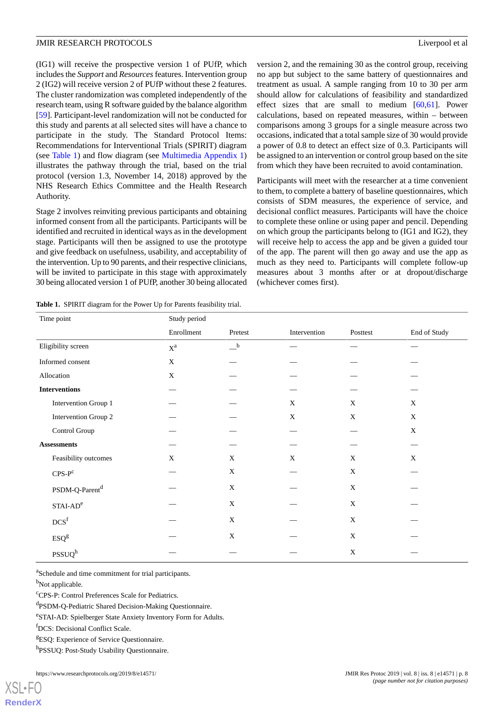(IG1) will receive the prospective version 1 of PUfP, which includes the *Support* and *Resources* features. Intervention group 2 (IG2) will receive version 2 of PUfP without these 2 features. The cluster randomization was completed independently of the research team, using R software guided by the balance algorithm [[59\]](#page-13-11). Participant-level randomization will not be conducted for this study and parents at all selected sites will have a chance to participate in the study. The Standard Protocol Items: Recommendations for Interventional Trials (SPIRIT) diagram (see [Table 1\)](#page-7-0) and flow diagram (see [Multimedia Appendix 1](#page-10-2)) illustrates the pathway through the trial, based on the trial protocol (version 1.3, November 14, 2018) approved by the NHS Research Ethics Committee and the Health Research Authority.

Stage 2 involves reinviting previous participants and obtaining informed consent from all the participants. Participants will be identified and recruited in identical ways as in the development stage. Participants will then be assigned to use the prototype and give feedback on usefulness, usability, and acceptability of the intervention. Up to 90 parents, and their respective clinicians, will be invited to participate in this stage with approximately 30 being allocated version 1 of PUfP, another 30 being allocated

<span id="page-7-0"></span>**Table 1.** SPIRIT diagram for the Power Up for Parents feasibility trial.

version 2, and the remaining 30 as the control group, receiving no app but subject to the same battery of questionnaires and treatment as usual. A sample ranging from 10 to 30 per arm should allow for calculations of feasibility and standardized effect sizes that are small to medium  $[60,61]$  $[60,61]$  $[60,61]$  $[60,61]$ . Power calculations, based on repeated measures, within – between comparisons among 3 groups for a single measure across two occasions, indicated that a total sample size of 30 would provide a power of 0.8 to detect an effect size of 0.3. Participants will be assigned to an intervention or control group based on the site from which they have been recruited to avoid contamination.

Participants will meet with the researcher at a time convenient to them, to complete a battery of baseline questionnaires, which consists of SDM measures, the experience of service, and decisional conflict measures. Participants will have the choice to complete these online or using paper and pencil. Depending on which group the participants belong to (IG1 and IG2), they will receive help to access the app and be given a guided tour of the app. The parent will then go away and use the app as much as they need to. Participants will complete follow-up measures about 3 months after or at dropout/discharge (whichever comes first).

| Time point                 | Study period          |                                         |              |             |              |  |
|----------------------------|-----------------------|-----------------------------------------|--------------|-------------|--------------|--|
|                            | Enrollment            | Pretest                                 | Intervention | Posttest    | End of Study |  |
| Eligibility screen         | $\mathbf{X}^\text{a}$ | $\overline{\phantom{a}}^{\phantom{a}b}$ |              |             |              |  |
| Informed consent           | $\mathbf X$           |                                         |              |             |              |  |
| Allocation                 | X                     |                                         |              |             |              |  |
| <b>Interventions</b>       |                       |                                         |              |             |              |  |
| Intervention Group 1       |                       |                                         | X            | X           | X            |  |
| Intervention Group 2       |                       |                                         | $\mathbf X$  | $\mathbf X$ | $\mathbf X$  |  |
| Control Group              |                       |                                         |              |             | X            |  |
| <b>Assessments</b>         |                       |                                         |              |             |              |  |
| Feasibility outcomes       | X                     | X                                       | $\mathbf X$  | $\mathbf X$ | X            |  |
| $CPS-P^C$                  |                       | $\mathbf X$                             |              | $\mathbf X$ |              |  |
| PSDM-Q-Parent <sup>d</sup> |                       | $\mathbf X$                             |              | $\mathbf X$ |              |  |
| $STAI-ADe$                 |                       | $\mathbf X$                             |              | X           |              |  |
| $DCS^\mathrm{f}$           |                       | $\mathbf X$                             |              | $\mathbf X$ |              |  |
| ESQ <sup>g</sup>           |                       | X                                       |              | X           |              |  |
| PSSUQ <sup>h</sup>         |                       |                                         |              | $\mathbf X$ |              |  |

<sup>a</sup>Schedule and time commitment for trial participants.

<sup>b</sup>Not applicable.

[XSL](http://www.w3.org/Style/XSL)•FO **[RenderX](http://www.renderx.com/)**

<sup>c</sup>CPS-P: Control Preferences Scale for Pediatrics.

dPSDM-Q-Pediatric Shared Decision-Making Questionnaire.

e STAI-AD: Spielberger State Anxiety Inventory Form for Adults.

<sup>f</sup>DCS: Decisional Conflict Scale.

<sup>g</sup>ESQ: Experience of Service Questionnaire.

h<sub>PSSUQ</sub>: Post-Study Usability Questionnaire.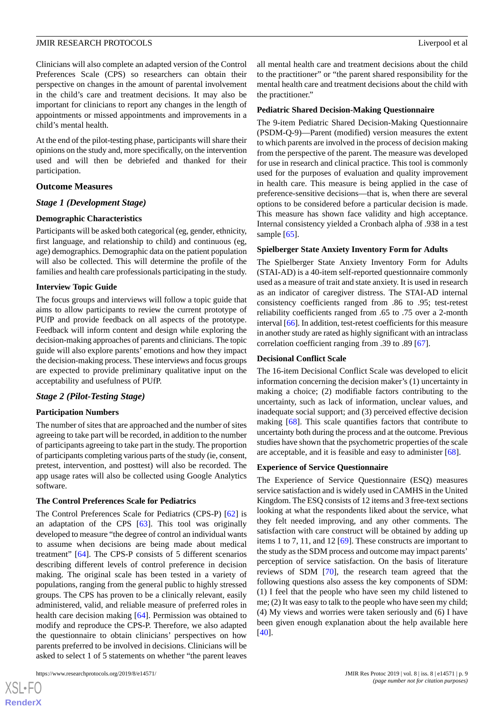Clinicians will also complete an adapted version of the Control Preferences Scale (CPS) so researchers can obtain their perspective on changes in the amount of parental involvement in the child's care and treatment decisions. It may also be important for clinicians to report any changes in the length of appointments or missed appointments and improvements in a child's mental health.

At the end of the pilot-testing phase, participants will share their opinions on the study and, more specifically, on the intervention used and will then be debriefed and thanked for their participation.

#### **Outcome Measures**

#### *Stage 1 (Development Stage)*

#### **Demographic Characteristics**

Participants will be asked both categorical (eg, gender, ethnicity, first language, and relationship to child) and continuous (eg, age) demographics. Demographic data on the patient population will also be collected. This will determine the profile of the families and health care professionals participating in the study.

#### **Interview Topic Guide**

The focus groups and interviews will follow a topic guide that aims to allow participants to review the current prototype of PUfP and provide feedback on all aspects of the prototype. Feedback will inform content and design while exploring the decision-making approaches of parents and clinicians. The topic guide will also explore parents' emotions and how they impact the decision-making process. These interviews and focus groups are expected to provide preliminary qualitative input on the acceptability and usefulness of PUfP.

#### *Stage 2 (Pilot-Testing Stage)*

#### **Participation Numbers**

The number of sites that are approached and the number of sites agreeing to take part will be recorded, in addition to the number of participants agreeing to take part in the study. The proportion of participants completing various parts of the study (ie, consent, pretest, intervention, and posttest) will also be recorded. The app usage rates will also be collected using Google Analytics software.

#### **The Control Preferences Scale for Pediatrics**

The Control Preferences Scale for Pediatrics (CPS-P) [\[62](#page-13-14)] is an adaptation of the CPS [[63\]](#page-13-15). This tool was originally developed to measure "the degree of control an individual wants to assume when decisions are being made about medical treatment" [[64\]](#page-13-16). The CPS-P consists of 5 different scenarios describing different levels of control preference in decision making. The original scale has been tested in a variety of populations, ranging from the general public to highly stressed groups. The CPS has proven to be a clinically relevant, easily administered, valid, and reliable measure of preferred roles in health care decision making [[64\]](#page-13-16). Permission was obtained to modify and reproduce the CPS-P. Therefore, we also adapted the questionnaire to obtain clinicians' perspectives on how parents preferred to be involved in decisions. Clinicians will be asked to select 1 of 5 statements on whether "the parent leaves

[XSL](http://www.w3.org/Style/XSL)•FO **[RenderX](http://www.renderx.com/)** all mental health care and treatment decisions about the child to the practitioner" or "the parent shared responsibility for the mental health care and treatment decisions about the child with the practitioner."

#### **Pediatric Shared Decision-Making Questionnaire**

The 9-item Pediatric Shared Decision-Making Questionnaire (PSDM-Q-9)—Parent (modified) version measures the extent to which parents are involved in the process of decision making from the perspective of the parent. The measure was developed for use in research and clinical practice. This tool is commonly used for the purposes of evaluation and quality improvement in health care. This measure is being applied in the case of preference-sensitive decisions—that is, when there are several options to be considered before a particular decision is made. This measure has shown face validity and high acceptance. Internal consistency yielded a Cronbach alpha of .938 in a test sample [[65\]](#page-13-17).

#### **Spielberger State Anxiety Inventory Form for Adults**

The Spielberger State Anxiety Inventory Form for Adults (STAI-AD) is a 40-item self-reported questionnaire commonly used as a measure of trait and state anxiety. It is used in research as an indicator of caregiver distress. The STAI-AD internal consistency coefficients ranged from .86 to .95; test-retest reliability coefficients ranged from .65 to .75 over a 2-month interval [[66](#page-13-18)]. In addition, test-retest coefficients for this measure in another study are rated as highly significant with an intraclass correlation coefficient ranging from .39 to .89 [[67\]](#page-13-19).

#### **Decisional Conflict Scale**

The 16-item Decisional Conflict Scale was developed to elicit information concerning the decision maker's (1) uncertainty in making a choice; (2) modifiable factors contributing to the uncertainty, such as lack of information, unclear values, and inadequate social support; and (3) perceived effective decision making [\[68](#page-13-20)]. This scale quantifies factors that contribute to uncertainty both during the process and at the outcome. Previous studies have shown that the psychometric properties of the scale are acceptable, and it is feasible and easy to administer [[68\]](#page-13-20).

#### **Experience of Service Questionnaire**

The Experience of Service Questionnaire (ESQ) measures service satisfaction and is widely used in CAMHS in the United Kingdom. The ESQ consists of 12 items and 3 free-text sections looking at what the respondents liked about the service, what they felt needed improving, and any other comments. The satisfaction with care construct will be obtained by adding up items 1 to 7, 11, and 12 [\[69](#page-13-21)]. These constructs are important to the study as the SDM process and outcome may impact parents' perception of service satisfaction. On the basis of literature reviews of SDM [\[70](#page-13-22)], the research team agreed that the following questions also assess the key components of SDM: (1) I feel that the people who have seen my child listened to me; (2) It was easy to talk to the people who have seen my child; (4) My views and worries were taken seriously and (6) I have been given enough explanation about the help available here [[40\]](#page-12-12).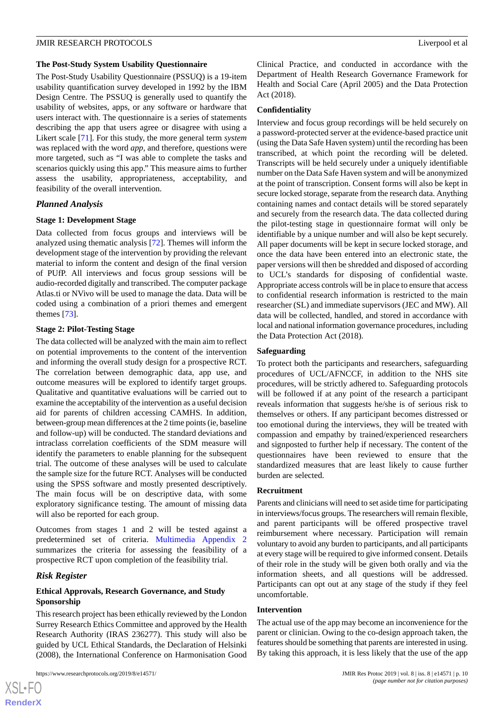#### **The Post-Study System Usability Questionnaire**

The Post-Study Usability Questionnaire (PSSUQ) is a 19-item usability quantification survey developed in 1992 by the IBM Design Centre. The PSSUQ is generally used to quantify the usability of websites, apps, or any software or hardware that users interact with. The questionnaire is a series of statements describing the app that users agree or disagree with using a Likert scale [[71\]](#page-13-23). For this study, the more general term *system* was replaced with the word *app*, and therefore, questions were more targeted, such as "I was able to complete the tasks and scenarios quickly using this app." This measure aims to further assess the usability, appropriateness, acceptability, and feasibility of the overall intervention.

#### *Planned Analysis*

#### **Stage 1: Development Stage**

Data collected from focus groups and interviews will be analyzed using thematic analysis [\[72](#page-14-0)]. Themes will inform the development stage of the intervention by providing the relevant material to inform the content and design of the final version of PUfP. All interviews and focus group sessions will be audio-recorded digitally and transcribed. The computer package Atlas.ti or NVivo will be used to manage the data. Data will be coded using a combination of a priori themes and emergent themes [[73\]](#page-14-1).

#### **Stage 2: Pilot-Testing Stage**

The data collected will be analyzed with the main aim to reflect on potential improvements to the content of the intervention and informing the overall study design for a prospective RCT. The correlation between demographic data, app use, and outcome measures will be explored to identify target groups. Qualitative and quantitative evaluations will be carried out to examine the acceptability of the intervention as a useful decision aid for parents of children accessing CAMHS. In addition, between-group mean differences at the 2 time points (ie, baseline and follow-up) will be conducted. The standard deviations and intraclass correlation coefficients of the SDM measure will identify the parameters to enable planning for the subsequent trial. The outcome of these analyses will be used to calculate the sample size for the future RCT. Analyses will be conducted using the SPSS software and mostly presented descriptively. The main focus will be on descriptive data, with some exploratory significance testing. The amount of missing data will also be reported for each group.

Outcomes from stages 1 and 2 will be tested against a predetermined set of criteria. [Multimedia Appendix 2](#page-10-3) summarizes the criteria for assessing the feasibility of a prospective RCT upon completion of the feasibility trial.

#### *Risk Register*

#### **Ethical Approvals, Research Governance, and Study Sponsorship**

This research project has been ethically reviewed by the London Surrey Research Ethics Committee and approved by the Health Research Authority (IRAS 236277). This study will also be guided by UCL Ethical Standards, the Declaration of Helsinki (2008), the International Conference on Harmonisation Good

Clinical Practice, and conducted in accordance with the Department of Health Research Governance Framework for Health and Social Care (April 2005) and the Data Protection Act (2018).

#### **Confidentiality**

Interview and focus group recordings will be held securely on a password-protected server at the evidence-based practice unit (using the Data Safe Haven system) until the recording has been transcribed, at which point the recording will be deleted. Transcripts will be held securely under a uniquely identifiable number on the Data Safe Haven system and will be anonymized at the point of transcription. Consent forms will also be kept in secure locked storage, separate from the research data. Anything containing names and contact details will be stored separately and securely from the research data. The data collected during the pilot-testing stage in questionnaire format will only be identifiable by a unique number and will also be kept securely. All paper documents will be kept in secure locked storage, and once the data have been entered into an electronic state, the paper versions will then be shredded and disposed of according to UCL's standards for disposing of confidential waste. Appropriate access controls will be in place to ensure that access to confidential research information is restricted to the main researcher (SL) and immediate supervisors (JEC and MW). All data will be collected, handled, and stored in accordance with local and national information governance procedures, including the Data Protection Act (2018).

#### **Safeguarding**

To protect both the participants and researchers, safeguarding procedures of UCL/AFNCCF, in addition to the NHS site procedures, will be strictly adhered to. Safeguarding protocols will be followed if at any point of the research a participant reveals information that suggests he/she is of serious risk to themselves or others. If any participant becomes distressed or too emotional during the interviews, they will be treated with compassion and empathy by trained/experienced researchers and signposted to further help if necessary. The content of the questionnaires have been reviewed to ensure that the standardized measures that are least likely to cause further burden are selected.

#### **Recruitment**

Parents and clinicians will need to set aside time for participating in interviews/focus groups. The researchers will remain flexible, and parent participants will be offered prospective travel reimbursement where necessary. Participation will remain voluntary to avoid any burden to participants, and all participants at every stage will be required to give informed consent. Details of their role in the study will be given both orally and via the information sheets, and all questions will be addressed. Participants can opt out at any stage of the study if they feel uncomfortable.

#### **Intervention**

The actual use of the app may become an inconvenience for the parent or clinician. Owing to the co-design approach taken, the features should be something that parents are interested in using. By taking this approach, it is less likely that the use of the app

 $XS$ -FO **[RenderX](http://www.renderx.com/)**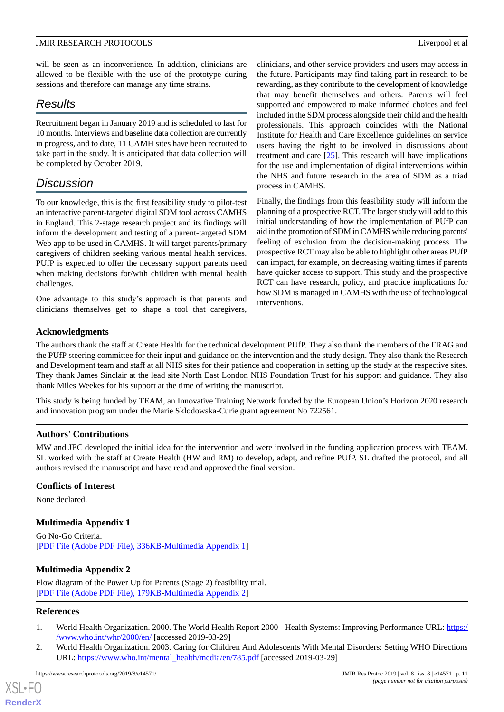will be seen as an inconvenience. In addition, clinicians are allowed to be flexible with the use of the prototype during sessions and therefore can manage any time strains.

# *Results*

Recruitment began in January 2019 and is scheduled to last for 10 months. Interviews and baseline data collection are currently in progress, and to date, 11 CAMH sites have been recruited to take part in the study. It is anticipated that data collection will be completed by October 2019.

# *Discussion*

To our knowledge, this is the first feasibility study to pilot-test an interactive parent-targeted digital SDM tool across CAMHS in England. This 2-stage research project and its findings will inform the development and testing of a parent-targeted SDM Web app to be used in CAMHS. It will target parents/primary caregivers of children seeking various mental health services. PUfP is expected to offer the necessary support parents need when making decisions for/with children with mental health challenges.

One advantage to this study's approach is that parents and clinicians themselves get to shape a tool that caregivers, clinicians, and other service providers and users may access in the future. Participants may find taking part in research to be rewarding, as they contribute to the development of knowledge that may benefit themselves and others. Parents will feel supported and empowered to make informed choices and feel included in the SDM process alongside their child and the health professionals. This approach coincides with the National Institute for Health and Care Excellence guidelines on service users having the right to be involved in discussions about treatment and care [[25\]](#page-11-12). This research will have implications for the use and implementation of digital interventions within the NHS and future research in the area of SDM as a triad process in CAMHS.

Finally, the findings from this feasibility study will inform the planning of a prospective RCT. The larger study will add to this initial understanding of how the implementation of PUfP can aid in the promotion of SDM in CAMHS while reducing parents' feeling of exclusion from the decision-making process. The prospective RCT may also be able to highlight other areas PUfP can impact, for example, on decreasing waiting times if parents have quicker access to support. This study and the prospective RCT can have research, policy, and practice implications for how SDM is managed in CAMHS with the use of technological interventions.

# **Acknowledgments**

The authors thank the staff at Create Health for the technical development PUfP. They also thank the members of the FRAG and the PUfP steering committee for their input and guidance on the intervention and the study design. They also thank the Research and Development team and staff at all NHS sites for their patience and cooperation in setting up the study at the respective sites. They thank James Sinclair at the lead site North East London NHS Foundation Trust for his support and guidance. They also thank Miles Weekes for his support at the time of writing the manuscript.

This study is being funded by TEAM, an Innovative Training Network funded by the European Union's Horizon 2020 research and innovation program under the Marie Sklodowska-Curie grant agreement No 722561.

# **Authors' Contributions**

MW and JEC developed the initial idea for the intervention and were involved in the funding application process with TEAM. SL worked with the staff at Create Health (HW and RM) to develop, adapt, and refine PUfP. SL drafted the protocol, and all authors revised the manuscript and have read and approved the final version.

### <span id="page-10-2"></span>**Conflicts of Interest**

None declared.

### <span id="page-10-3"></span>**Multimedia Appendix 1**

Go No-Go Criteria. [[PDF File \(Adobe PDF File\), 336KB-Multimedia Appendix 1](https://jmir.org/api/download?alt_name=resprot_v8i8e14571_app1.pdf&filename=f254527d75e2282e76618f358e64e602.pdf)]

# <span id="page-10-0"></span>**Multimedia Appendix 2**

<span id="page-10-1"></span>Flow diagram of the Power Up for Parents (Stage 2) feasibility trial. [[PDF File \(Adobe PDF File\), 179KB-Multimedia Appendix 2](https://jmir.org/api/download?alt_name=resprot_v8i8e14571_app2.pdf&filename=7d70cf6fba869c6c8240e6b290521b12.pdf)]

### **References**

- 1. World Health Organization. 2000. The World Health Report 2000 Health Systems: Improving Performance URL: [https:/](https://www.who.int/whr/2000/en/) [/www.who.int/whr/2000/en/](https://www.who.int/whr/2000/en/) [accessed 2019-03-29]
- 2. World Health Organization. 2003. Caring for Children And Adolescents With Mental Disorders: Setting WHO Directions URL: [https://www.who.int/mental\\_health/media/en/785.pdf](https://www.who.int/mental_health/media/en/785.pdf) [accessed 2019-03-29]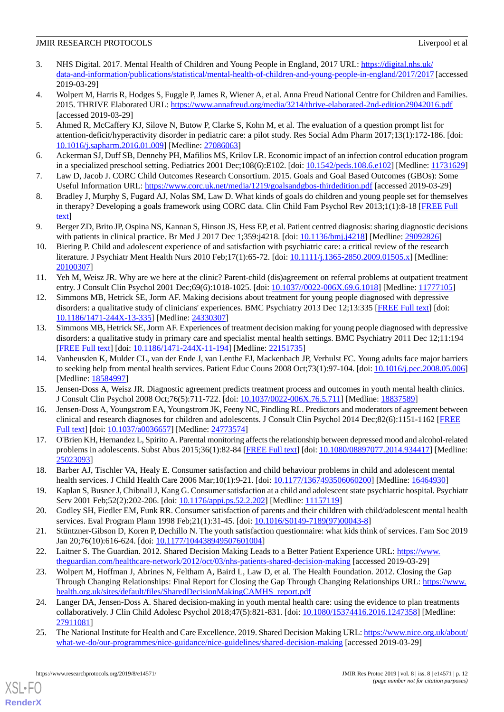- <span id="page-11-0"></span>3. NHS Digital. 2017. Mental Health of Children and Young People in England, 2017 URL: [https://digital.nhs.uk/](https://digital.nhs.uk/data-and-information/publications/statistical/mental-health-of-children-and-young-people-in-england/2017/2017) [data-and-information/publications/statistical/mental-health-of-children-and-young-people-in-england/2017/2017](https://digital.nhs.uk/data-and-information/publications/statistical/mental-health-of-children-and-young-people-in-england/2017/2017) [accessed 2019-03-29]
- <span id="page-11-1"></span>4. Wolpert M, Harris R, Hodges S, Fuggle P, James R, Wiener A, et al. Anna Freud National Centre for Children and Families. 2015. THRIVE Elaborated URL: <https://www.annafreud.org/media/3214/thrive-elaborated-2nd-edition29042016.pdf> [accessed 2019-03-29]
- <span id="page-11-2"></span>5. Ahmed R, McCaffery KJ, Silove N, Butow P, Clarke S, Kohn M, et al. The evaluation of a question prompt list for attention-deficit/hyperactivity disorder in pediatric care: a pilot study. Res Social Adm Pharm 2017;13(1):172-186. [doi: [10.1016/j.sapharm.2016.01.009\]](http://dx.doi.org/10.1016/j.sapharm.2016.01.009) [Medline: [27086063](http://www.ncbi.nlm.nih.gov/entrez/query.fcgi?cmd=Retrieve&db=PubMed&list_uids=27086063&dopt=Abstract)]
- <span id="page-11-4"></span><span id="page-11-3"></span>6. Ackerman SJ, Duff SB, Dennehy PH, Mafilios MS, Krilov LR. Economic impact of an infection control education program in a specialized preschool setting. Pediatrics 2001 Dec;108(6):E102. [doi: [10.1542/peds.108.6.e102](http://dx.doi.org/10.1542/peds.108.6.e102)] [Medline: [11731629](http://www.ncbi.nlm.nih.gov/entrez/query.fcgi?cmd=Retrieve&db=PubMed&list_uids=11731629&dopt=Abstract)]
- <span id="page-11-5"></span>7. Law D, Jacob J. CORC Child Outcomes Research Consortium. 2015. Goals and Goal Based Outcomes (GBOs): Some Useful Information URL:<https://www.corc.uk.net/media/1219/goalsandgbos-thirdedition.pdf> [accessed 2019-03-29]
- <span id="page-11-6"></span>8. Bradley J, Murphy S, Fugard AJ, Nolas SM, Law D. What kinds of goals do children and young people set for themselves in therapy? Developing a goals framework using CORC data. Clin Child Fam Psychol Rev 2013;1(1):8-18 [\[FREE Full](http://sro.sussex.ac.uk/id/eprint/43688/) [text](http://sro.sussex.ac.uk/id/eprint/43688/)]
- <span id="page-11-7"></span>9. Berger ZD, Brito JP, Ospina NS, Kannan S, Hinson JS, Hess EP, et al. Patient centred diagnosis: sharing diagnostic decisions with patients in clinical practice. Br Med J 2017 Dec 1;359:j4218. [doi: [10.1136/bmj.j4218\]](http://dx.doi.org/10.1136/bmj.j4218) [Medline: [29092826\]](http://www.ncbi.nlm.nih.gov/entrez/query.fcgi?cmd=Retrieve&db=PubMed&list_uids=29092826&dopt=Abstract)
- 10. Biering P. Child and adolescent experience of and satisfaction with psychiatric care: a critical review of the research literature. J Psychiatr Ment Health Nurs 2010 Feb;17(1):65-72. [doi: [10.1111/j.1365-2850.2009.01505.x](http://dx.doi.org/10.1111/j.1365-2850.2009.01505.x)] [Medline: [20100307](http://www.ncbi.nlm.nih.gov/entrez/query.fcgi?cmd=Retrieve&db=PubMed&list_uids=20100307&dopt=Abstract)]
- 11. Yeh M, Weisz JR. Why are we here at the clinic? Parent-child (dis)agreement on referral problems at outpatient treatment entry. J Consult Clin Psychol 2001 Dec;69(6):1018-1025. [doi: [10.1037//0022-006X.69.6.1018\]](http://dx.doi.org/10.1037//0022-006X.69.6.1018) [Medline: [11777105\]](http://www.ncbi.nlm.nih.gov/entrez/query.fcgi?cmd=Retrieve&db=PubMed&list_uids=11777105&dopt=Abstract)
- 12. Simmons MB, Hetrick SE, Jorm AF. Making decisions about treatment for young people diagnosed with depressive disorders: a qualitative study of clinicians' experiences. BMC Psychiatry 2013 Dec 12;13:335 [\[FREE Full text\]](https://bmcpsychiatry.biomedcentral.com/articles/10.1186/1471-244X-13-335) [doi: [10.1186/1471-244X-13-335](http://dx.doi.org/10.1186/1471-244X-13-335)] [Medline: [24330307\]](http://www.ncbi.nlm.nih.gov/entrez/query.fcgi?cmd=Retrieve&db=PubMed&list_uids=24330307&dopt=Abstract)
- 13. Simmons MB, Hetrick SE, Jorm AF. Experiences of treatment decision making for young people diagnosed with depressive disorders: a qualitative study in primary care and specialist mental health settings. BMC Psychiatry 2011 Dec 12;11:194 [[FREE Full text](https://bmcpsychiatry.biomedcentral.com/articles/10.1186/1471-244X-11-194)] [doi: [10.1186/1471-244X-11-194\]](http://dx.doi.org/10.1186/1471-244X-11-194) [Medline: [22151735\]](http://www.ncbi.nlm.nih.gov/entrez/query.fcgi?cmd=Retrieve&db=PubMed&list_uids=22151735&dopt=Abstract)
- 14. Vanheusden K, Mulder CL, van der Ende J, van Lenthe FJ, Mackenbach JP, Verhulst FC. Young adults face major barriers to seeking help from mental health services. Patient Educ Couns 2008 Oct;73(1):97-104. [doi: [10.1016/j.pec.2008.05.006](http://dx.doi.org/10.1016/j.pec.2008.05.006)] [Medline: [18584997](http://www.ncbi.nlm.nih.gov/entrez/query.fcgi?cmd=Retrieve&db=PubMed&list_uids=18584997&dopt=Abstract)]
- 15. Jensen-Doss A, Weisz JR. Diagnostic agreement predicts treatment process and outcomes in youth mental health clinics. J Consult Clin Psychol 2008 Oct;76(5):711-722. [doi: [10.1037/0022-006X.76.5.711\]](http://dx.doi.org/10.1037/0022-006X.76.5.711) [Medline: [18837589](http://www.ncbi.nlm.nih.gov/entrez/query.fcgi?cmd=Retrieve&db=PubMed&list_uids=18837589&dopt=Abstract)]
- 16. Jensen-Doss A, Youngstrom EA, Youngstrom JK, Feeny NC, Findling RL. Predictors and moderators of agreement between clinical and research diagnoses for children and adolescents. J Consult Clin Psychol 2014 Dec;82(6):1151-1162 [[FREE](http://europepmc.org/abstract/MED/24773574) [Full text\]](http://europepmc.org/abstract/MED/24773574) [doi: [10.1037/a0036657\]](http://dx.doi.org/10.1037/a0036657) [Medline: [24773574\]](http://www.ncbi.nlm.nih.gov/entrez/query.fcgi?cmd=Retrieve&db=PubMed&list_uids=24773574&dopt=Abstract)
- 17. O'Brien KH, Hernandez L, Spirito A. Parental monitoring affects the relationship between depressed mood and alcohol-related problems in adolescents. Subst Abus 2015;36(1):82-84 [[FREE Full text\]](http://europepmc.org/abstract/MED/25023093) [doi: [10.1080/08897077.2014.934417\]](http://dx.doi.org/10.1080/08897077.2014.934417) [Medline: [25023093](http://www.ncbi.nlm.nih.gov/entrez/query.fcgi?cmd=Retrieve&db=PubMed&list_uids=25023093&dopt=Abstract)]
- <span id="page-11-8"></span>18. Barber AJ, Tischler VA, Healy E. Consumer satisfaction and child behaviour problems in child and adolescent mental health services. J Child Health Care 2006 Mar;10(1):9-21. [doi: [10.1177/1367493506060200\]](http://dx.doi.org/10.1177/1367493506060200) [Medline: [16464930](http://www.ncbi.nlm.nih.gov/entrez/query.fcgi?cmd=Retrieve&db=PubMed&list_uids=16464930&dopt=Abstract)]
- <span id="page-11-9"></span>19. Kaplan S, Busner J, Chibnall J, Kang G. Consumer satisfaction at a child and adolescent state psychiatric hospital. Psychiatr Serv 2001 Feb;52(2):202-206. [doi: [10.1176/appi.ps.52.2.202](http://dx.doi.org/10.1176/appi.ps.52.2.202)] [Medline: [11157119\]](http://www.ncbi.nlm.nih.gov/entrez/query.fcgi?cmd=Retrieve&db=PubMed&list_uids=11157119&dopt=Abstract)
- <span id="page-11-10"></span>20. Godley SH, Fiedler EM, Funk RR. Consumer satisfaction of parents and their children with child/adolescent mental health services. Eval Program Plann 1998 Feb;21(1):31-45. [doi: [10.1016/S0149-7189\(97\)00043-8](http://dx.doi.org/10.1016/S0149-7189(97)00043-8)]
- 21. Stüntzner-Gibson D, Koren P, Dechillo N. The youth satisfaction questionnaire: what kids think of services. Fam Soc 2019 Jan 20;76(10):616-624. [doi: [10.1177/104438949507601004\]](http://dx.doi.org/10.1177/104438949507601004)
- <span id="page-11-11"></span>22. Laitner S. The Guardian. 2012. Shared Decision Making Leads to a Better Patient Experience URL: [https://www.](https://www.theguardian.com/healthcare-network/2012/oct/03/nhs-patients-shared-decision-making) [theguardian.com/healthcare-network/2012/oct/03/nhs-patients-shared-decision-making](https://www.theguardian.com/healthcare-network/2012/oct/03/nhs-patients-shared-decision-making) [accessed 2019-03-29]
- <span id="page-11-12"></span>23. Wolpert M, Hoffman J, Abrines N, Feltham A, Baird L, Law D, et al. The Health Foundation. 2012. Closing the Gap Through Changing Relationships: Final Report for Closing the Gap Through Changing Relationships URL: [https://www.](https://www.health.org.uk/sites/default/files/SharedDecisionMakingCAMHS_report.pdf) [health.org.uk/sites/default/files/SharedDecisionMakingCAMHS\\_report.pdf](https://www.health.org.uk/sites/default/files/SharedDecisionMakingCAMHS_report.pdf)
- 24. Langer DA, Jensen-Doss A. Shared decision-making in youth mental health care: using the evidence to plan treatments collaboratively. J Clin Child Adolesc Psychol 2018;47(5):821-831. [doi: [10.1080/15374416.2016.1247358\]](http://dx.doi.org/10.1080/15374416.2016.1247358) [Medline: [27911081](http://www.ncbi.nlm.nih.gov/entrez/query.fcgi?cmd=Retrieve&db=PubMed&list_uids=27911081&dopt=Abstract)]
- 25. The National Institute for Health and Care Excellence. 2019. Shared Decision Making URL: [https://www.nice.org.uk/about/](https://www.nice.org.uk/about/what-we-do/our-programmes/nice-guidance/nice-guidelines/shared-decision-making) [what-we-do/our-programmes/nice-guidance/nice-guidelines/shared-decision-making](https://www.nice.org.uk/about/what-we-do/our-programmes/nice-guidance/nice-guidelines/shared-decision-making) [accessed 2019-03-29]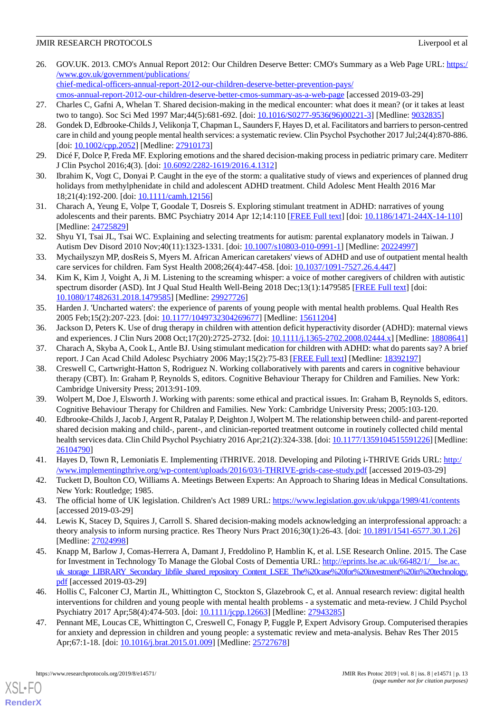- <span id="page-12-0"></span>26. GOV.UK. 2013. CMO's Annual Report 2012: Our Children Deserve Better: CMO's Summary as a Web Page URL: [https:/](https://www.gov.uk/government/publications/chief-medical-officers-annual-report-2012-our-children-deserve-better-prevention-pays/cmos-annual-report-2012-our-children-deserve-better-cmos-summary-as-a-web-page) [/www.gov.uk/government/publications/](https://www.gov.uk/government/publications/chief-medical-officers-annual-report-2012-our-children-deserve-better-prevention-pays/cmos-annual-report-2012-our-children-deserve-better-cmos-summary-as-a-web-page) [chief-medical-officers-annual-report-2012-our-children-deserve-better-prevention-pays/](https://www.gov.uk/government/publications/chief-medical-officers-annual-report-2012-our-children-deserve-better-prevention-pays/cmos-annual-report-2012-our-children-deserve-better-cmos-summary-as-a-web-page)
- <span id="page-12-1"></span>[cmos-annual-report-2012-our-children-deserve-better-cmos-summary-as-a-web-page](https://www.gov.uk/government/publications/chief-medical-officers-annual-report-2012-our-children-deserve-better-prevention-pays/cmos-annual-report-2012-our-children-deserve-better-cmos-summary-as-a-web-page) [accessed 2019-03-29] 27. Charles C, Gafni A, Whelan T. Shared decision-making in the medical encounter: what does it mean? (or it takes at least two to tango). Soc Sci Med 1997 Mar;44(5):681-692. [doi: [10.1016/S0277-9536\(96\)00221-3\]](http://dx.doi.org/10.1016/S0277-9536(96)00221-3) [Medline: [9032835](http://www.ncbi.nlm.nih.gov/entrez/query.fcgi?cmd=Retrieve&db=PubMed&list_uids=9032835&dopt=Abstract)]
- <span id="page-12-2"></span>28. Gondek D, Edbrooke-Childs J, Velikonja T, Chapman L, Saunders F, Hayes D, et al. Facilitators and barriers to person-centred care in child and young people mental health services: a systematic review. Clin Psychol Psychother 2017 Jul;24(4):870-886. [doi: [10.1002/cpp.2052](http://dx.doi.org/10.1002/cpp.2052)] [Medline: [27910173\]](http://www.ncbi.nlm.nih.gov/entrez/query.fcgi?cmd=Retrieve&db=PubMed&list_uids=27910173&dopt=Abstract)
- <span id="page-12-4"></span><span id="page-12-3"></span>29. Dicé F, Dolce P, Freda MF. Exploring emotions and the shared decision-making process in pediatric primary care. Mediterr J Clin Psychol 2016;4(3). [doi: [10.6092/2282-1619/2016.4.1312](http://dx.doi.org/10.6092/2282-1619/2016.4.1312)]
- 30. Ibrahim K, Vogt C, Donyai P. Caught in the eye of the storm: a qualitative study of views and experiences of planned drug holidays from methylphenidate in child and adolescent ADHD treatment. Child Adolesc Ment Health 2016 Mar 18;21(4):192-200. [doi: [10.1111/camh.12156\]](http://dx.doi.org/10.1111/camh.12156)
- 31. Charach A, Yeung E, Volpe T, Goodale T, Dosreis S. Exploring stimulant treatment in ADHD: narratives of young adolescents and their parents. BMC Psychiatry 2014 Apr 12;14:110 [\[FREE Full text\]](https://bmcpsychiatry.biomedcentral.com/articles/10.1186/1471-244X-14-110) [doi: [10.1186/1471-244X-14-110](http://dx.doi.org/10.1186/1471-244X-14-110)] [Medline: [24725829](http://www.ncbi.nlm.nih.gov/entrez/query.fcgi?cmd=Retrieve&db=PubMed&list_uids=24725829&dopt=Abstract)]
- <span id="page-12-5"></span>32. Shyu YI, Tsai JL, Tsai WC. Explaining and selecting treatments for autism: parental explanatory models in Taiwan. J Autism Dev Disord 2010 Nov;40(11):1323-1331. [doi: [10.1007/s10803-010-0991-1\]](http://dx.doi.org/10.1007/s10803-010-0991-1) [Medline: [20224997](http://www.ncbi.nlm.nih.gov/entrez/query.fcgi?cmd=Retrieve&db=PubMed&list_uids=20224997&dopt=Abstract)]
- <span id="page-12-6"></span>33. Mychailyszyn MP, dosReis S, Myers M. African American caretakers' views of ADHD and use of outpatient mental health care services for children. Fam Syst Health 2008;26(4):447-458. [doi: [10.1037/1091-7527.26.4.447](http://dx.doi.org/10.1037/1091-7527.26.4.447)]
- <span id="page-12-8"></span>34. Kim K, Kim J, Voight A, Ji M. Listening to the screaming whisper: a voice of mother caregivers of children with autistic spectrum disorder (ASD). Int J Qual Stud Health Well-Being 2018 Dec;13(1):1479585 [[FREE Full text\]](http://europepmc.org/abstract/MED/29927726) [doi: [10.1080/17482631.2018.1479585\]](http://dx.doi.org/10.1080/17482631.2018.1479585) [Medline: [29927726\]](http://www.ncbi.nlm.nih.gov/entrez/query.fcgi?cmd=Retrieve&db=PubMed&list_uids=29927726&dopt=Abstract)
- <span id="page-12-9"></span><span id="page-12-7"></span>35. Harden J. 'Uncharted waters': the experience of parents of young people with mental health problems. Qual Health Res 2005 Feb;15(2):207-223. [doi: [10.1177/1049732304269677](http://dx.doi.org/10.1177/1049732304269677)] [Medline: [15611204](http://www.ncbi.nlm.nih.gov/entrez/query.fcgi?cmd=Retrieve&db=PubMed&list_uids=15611204&dopt=Abstract)]
- <span id="page-12-10"></span>36. Jackson D, Peters K. Use of drug therapy in children with attention deficit hyperactivity disorder (ADHD): maternal views and experiences. J Clin Nurs 2008 Oct;17(20):2725-2732. [doi: [10.1111/j.1365-2702.2008.02444.x](http://dx.doi.org/10.1111/j.1365-2702.2008.02444.x)] [Medline: [18808641](http://www.ncbi.nlm.nih.gov/entrez/query.fcgi?cmd=Retrieve&db=PubMed&list_uids=18808641&dopt=Abstract)]
- 37. Charach A, Skyba A, Cook L, Antle BJ. Using stimulant medication for children with ADHD: what do parents say? A brief report. J Can Acad Child Adolesc Psychiatry 2006 May;15(2):75-83 [[FREE Full text](http://europepmc.org/abstract/MED/18392197)] [Medline: [18392197](http://www.ncbi.nlm.nih.gov/entrez/query.fcgi?cmd=Retrieve&db=PubMed&list_uids=18392197&dopt=Abstract)]
- <span id="page-12-12"></span><span id="page-12-11"></span>38. Creswell C, Cartwright-Hatton S, Rodriguez N. Working collaboratively with parents and carers in cognitive behaviour therapy (CBT). In: Graham P, Reynolds S, editors. Cognitive Behaviour Therapy for Children and Families. New York: Cambridge University Press; 2013:91-109.
- 39. Wolpert M, Doe J, Elsworth J. Working with parents: some ethical and practical issues. In: Graham B, Reynolds S, editors. Cognitive Behaviour Therapy for Children and Families. New York: Cambridge University Press; 2005:103-120.
- <span id="page-12-14"></span><span id="page-12-13"></span>40. Edbrooke-Childs J, Jacob J, Argent R, Patalay P, Deighton J, Wolpert M. The relationship between child- and parent-reported shared decision making and child-, parent-, and clinician-reported treatment outcome in routinely collected child mental health services data. Clin Child Psychol Psychiatry 2016 Apr;21(2):324-338. [doi: [10.1177/1359104515591226](http://dx.doi.org/10.1177/1359104515591226)] [Medline: [26104790](http://www.ncbi.nlm.nih.gov/entrez/query.fcgi?cmd=Retrieve&db=PubMed&list_uids=26104790&dopt=Abstract)]
- <span id="page-12-16"></span><span id="page-12-15"></span>41. Hayes D, Town R, Lemoniatis E. Implementing iTHRIVE. 2018. Developing and Piloting i-THRIVE Grids URL: [http:/](http://www.implementingthrive.org/wp-content/uploads/2016/03/i-THRIVE-grids-case-study.pdf) [/www.implementingthrive.org/wp-content/uploads/2016/03/i-THRIVE-grids-case-study.pdf](http://www.implementingthrive.org/wp-content/uploads/2016/03/i-THRIVE-grids-case-study.pdf) [accessed 2019-03-29]
- 42. Tuckett D, Boulton CO, Williams A. Meetings Between Experts: An Approach to Sharing Ideas in Medical Consultations. New York: Routledge; 1985.
- <span id="page-12-17"></span>43. The official home of UK legislation. Children's Act 1989 URL:<https://www.legislation.gov.uk/ukpga/1989/41/contents> [accessed 2019-03-29]
- <span id="page-12-18"></span>44. Lewis K, Stacey D, Squires J, Carroll S. Shared decision-making models acknowledging an interprofessional approach: a theory analysis to inform nursing practice. Res Theory Nurs Pract 2016;30(1):26-43. [doi: [10.1891/1541-6577.30.1.26](http://dx.doi.org/10.1891/1541-6577.30.1.26)] [Medline: [27024998](http://www.ncbi.nlm.nih.gov/entrez/query.fcgi?cmd=Retrieve&db=PubMed&list_uids=27024998&dopt=Abstract)]
- <span id="page-12-19"></span>45. Knapp M, Barlow J, Comas-Herrera A, Damant J, Freddolino P, Hamblin K, et al. LSE Research Online. 2015. The Case for Investment in Technology To Manage the Global Costs of Dementia URL: http://eprints.lse.ac.uk/66482/1/ lse.ac. [uk\\_storage\\_LIBRARY\\_Secondary\\_libfile\\_shared\\_repository\\_Content\\_LSEE\\_The%20case%20for%20investment%20in%20technology.](http://eprints.lse.ac.uk/66482/1/__lse.ac.uk_storage_LIBRARY_Secondary_libfile_shared_repository_Content_LSEE_The%20case%20for%20investment%20in%20technology.pdf) [pdf](http://eprints.lse.ac.uk/66482/1/__lse.ac.uk_storage_LIBRARY_Secondary_libfile_shared_repository_Content_LSEE_The%20case%20for%20investment%20in%20technology.pdf) [accessed 2019-03-29]
- 46. Hollis C, Falconer CJ, Martin JL, Whittington C, Stockton S, Glazebrook C, et al. Annual research review: digital health interventions for children and young people with mental health problems - a systematic and meta-review. J Child Psychol Psychiatry 2017 Apr;58(4):474-503. [doi: [10.1111/jcpp.12663](http://dx.doi.org/10.1111/jcpp.12663)] [Medline: [27943285](http://www.ncbi.nlm.nih.gov/entrez/query.fcgi?cmd=Retrieve&db=PubMed&list_uids=27943285&dopt=Abstract)]
- 47. Pennant ME, Loucas CE, Whittington C, Creswell C, Fonagy P, Fuggle P, Expert Advisory Group. Computerised therapies for anxiety and depression in children and young people: a systematic review and meta-analysis. Behav Res Ther 2015 Apr;67:1-18. [doi: [10.1016/j.brat.2015.01.009\]](http://dx.doi.org/10.1016/j.brat.2015.01.009) [Medline: [25727678\]](http://www.ncbi.nlm.nih.gov/entrez/query.fcgi?cmd=Retrieve&db=PubMed&list_uids=25727678&dopt=Abstract)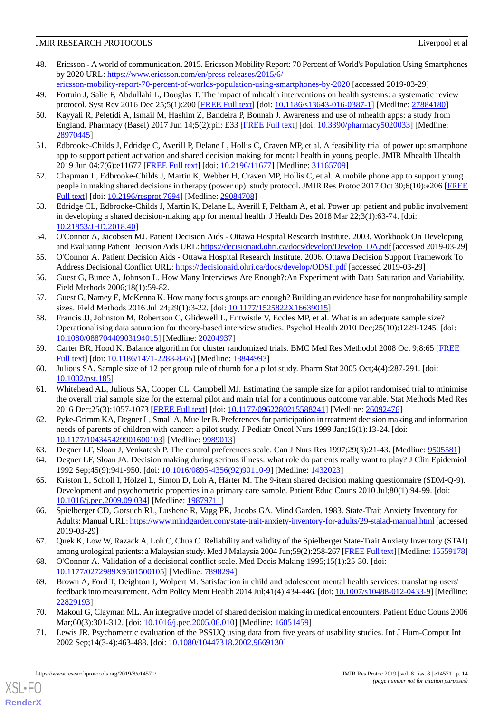- <span id="page-13-0"></span>48. Ericsson - A world of communication. 2015. Ericsson Mobility Report: 70 Percent of World's Population Using Smartphones by 2020 URL: [https://www.ericsson.com/en/press-releases/2015/6/](https://www.ericsson.com/en/press-releases/2015/6/ericsson-mobility-report-70-percent-of-worlds-population-using-smartphones-by-2020)
- <span id="page-13-1"></span>[ericsson-mobility-report-70-percent-of-worlds-population-using-smartphones-by-2020](https://www.ericsson.com/en/press-releases/2015/6/ericsson-mobility-report-70-percent-of-worlds-population-using-smartphones-by-2020) [accessed 2019-03-29] 49. Fortuin J, Salie F, Abdullahi L, Douglas T. The impact of mhealth interventions on health systems: a systematic review protocol. Syst Rev 2016 Dec 25;5(1):200 [\[FREE Full text\]](https://systematicreviewsjournal.biomedcentral.com/articles/10.1186/s13643-016-0387-1) [doi: [10.1186/s13643-016-0387-1\]](http://dx.doi.org/10.1186/s13643-016-0387-1) [Medline: [27884180\]](http://www.ncbi.nlm.nih.gov/entrez/query.fcgi?cmd=Retrieve&db=PubMed&list_uids=27884180&dopt=Abstract)
- <span id="page-13-2"></span>50. Kayyali R, Peletidi A, Ismail M, Hashim Z, Bandeira P, Bonnah J. Awareness and use of mhealth apps: a study from England. Pharmacy (Basel) 2017 Jun 14;5(2):pii: E33 [[FREE Full text\]](http://www.mdpi.com/resolver?pii=pharmacy5020033) [doi: [10.3390/pharmacy5020033\]](http://dx.doi.org/10.3390/pharmacy5020033) [Medline: [28970445](http://www.ncbi.nlm.nih.gov/entrez/query.fcgi?cmd=Retrieve&db=PubMed&list_uids=28970445&dopt=Abstract)]
- <span id="page-13-4"></span><span id="page-13-3"></span>51. Edbrooke-Childs J, Edridge C, Averill P, Delane L, Hollis C, Craven MP, et al. A feasibility trial of power up: smartphone app to support patient activation and shared decision making for mental health in young people. JMIR Mhealth Uhealth 2019 Jun 04;7(6):e11677 [[FREE Full text](http://mhealth.jmir.org/2019/6/e11677/)] [doi: [10.2196/11677\]](http://dx.doi.org/10.2196/11677) [Medline: [31165709\]](http://www.ncbi.nlm.nih.gov/entrez/query.fcgi?cmd=Retrieve&db=PubMed&list_uids=31165709&dopt=Abstract)
- <span id="page-13-5"></span>52. Chapman L, Edbrooke-Childs J, Martin K, Webber H, Craven MP, Hollis C, et al. A mobile phone app to support young people in making shared decisions in therapy (power up): study protocol. JMIR Res Protoc 2017 Oct 30;6(10):e206 [\[FREE](http://www.researchprotocols.org/2017/10/e206/) [Full text\]](http://www.researchprotocols.org/2017/10/e206/) [doi: [10.2196/resprot.7694\]](http://dx.doi.org/10.2196/resprot.7694) [Medline: [29084708](http://www.ncbi.nlm.nih.gov/entrez/query.fcgi?cmd=Retrieve&db=PubMed&list_uids=29084708&dopt=Abstract)]
- <span id="page-13-6"></span>53. Edridge CL, Edbrooke-Childs J, Martin K, Delane L, Averill P, Feltham A, et al. Power up: patient and public involvement in developing a shared decision-making app for mental health. J Health Des 2018 Mar 22;3(1):63-74. [doi: [10.21853/JHD.2018.40](http://dx.doi.org/10.21853/JHD.2018.40)]
- <span id="page-13-7"></span>54. O'Connor A, Jacobsen MJ. Patient Decision Aids - Ottawa Hospital Research Institute. 2003. Workbook On Developing and Evaluating Patient Decision Aids URL: [https://decisionaid.ohri.ca/docs/develop/Develop\\_DA.pdf](https://decisionaid.ohri.ca/docs/develop/Develop_DA.pdf) [accessed 2019-03-29]
- <span id="page-13-8"></span>55. O'Connor A. Patient Decision Aids - Ottawa Hospital Research Institute. 2006. Ottawa Decision Support Framework To Address Decisional Conflict URL: <https://decisionaid.ohri.ca/docs/develop/ODSF.pdf> [accessed 2019-03-29]
- <span id="page-13-10"></span><span id="page-13-9"></span>56. Guest G, Bunce A, Johnson L. How Many Interviews Are Enough?:An Experiment with Data Saturation and Variability. Field Methods 2006;18(1):59-82.
- 57. Guest G, Namey E, McKenna K. How many focus groups are enough? Building an evidence base for nonprobability sample sizes. Field Methods 2016 Jul 24;29(1):3-22. [doi: [10.1177/1525822X16639015\]](http://dx.doi.org/10.1177/1525822X16639015)
- <span id="page-13-12"></span><span id="page-13-11"></span>58. Francis JJ, Johnston M, Robertson C, Glidewell L, Entwistle V, Eccles MP, et al. What is an adequate sample size? Operationalising data saturation for theory-based interview studies. Psychol Health 2010 Dec;25(10):1229-1245. [doi: [10.1080/08870440903194015\]](http://dx.doi.org/10.1080/08870440903194015) [Medline: [20204937\]](http://www.ncbi.nlm.nih.gov/entrez/query.fcgi?cmd=Retrieve&db=PubMed&list_uids=20204937&dopt=Abstract)
- <span id="page-13-13"></span>59. Carter BR, Hood K. Balance algorithm for cluster randomized trials. BMC Med Res Methodol 2008 Oct 9;8:65 [[FREE](https://bmcmedresmethodol.biomedcentral.com/articles/10.1186/1471-2288-8-65) [Full text\]](https://bmcmedresmethodol.biomedcentral.com/articles/10.1186/1471-2288-8-65) [doi: [10.1186/1471-2288-8-65\]](http://dx.doi.org/10.1186/1471-2288-8-65) [Medline: [18844993](http://www.ncbi.nlm.nih.gov/entrez/query.fcgi?cmd=Retrieve&db=PubMed&list_uids=18844993&dopt=Abstract)]
- <span id="page-13-14"></span>60. Julious SA. Sample size of 12 per group rule of thumb for a pilot study. Pharm Stat 2005 Oct;4(4):287-291. [doi: [10.1002/pst.185\]](http://dx.doi.org/10.1002/pst.185)
- 61. Whitehead AL, Julious SA, Cooper CL, Campbell MJ. Estimating the sample size for a pilot randomised trial to minimise the overall trial sample size for the external pilot and main trial for a continuous outcome variable. Stat Methods Med Res 2016 Dec;25(3):1057-1073 [[FREE Full text\]](http://europepmc.org/abstract/MED/26092476) [doi: [10.1177/0962280215588241](http://dx.doi.org/10.1177/0962280215588241)] [Medline: [26092476](http://www.ncbi.nlm.nih.gov/entrez/query.fcgi?cmd=Retrieve&db=PubMed&list_uids=26092476&dopt=Abstract)]
- <span id="page-13-17"></span><span id="page-13-16"></span><span id="page-13-15"></span>62. Pyke-Grimm KA, Degner L, Small A, Mueller B. Preferences for participation in treatment decision making and information needs of parents of children with cancer: a pilot study. J Pediatr Oncol Nurs 1999 Jan;16(1):13-24. [doi: [10.1177/104345429901600103\]](http://dx.doi.org/10.1177/104345429901600103) [Medline: [9989013\]](http://www.ncbi.nlm.nih.gov/entrez/query.fcgi?cmd=Retrieve&db=PubMed&list_uids=9989013&dopt=Abstract)
- 63. Degner LF, Sloan J, Venkatesh P. The control preferences scale. Can J Nurs Res 1997;29(3):21-43. [Medline: [9505581\]](http://www.ncbi.nlm.nih.gov/entrez/query.fcgi?cmd=Retrieve&db=PubMed&list_uids=9505581&dopt=Abstract)
- <span id="page-13-18"></span>64. Degner LF, Sloan JA. Decision making during serious illness: what role do patients really want to play? J Clin Epidemiol 1992 Sep;45(9):941-950. [doi: [10.1016/0895-4356\(92\)90110-9\]](http://dx.doi.org/10.1016/0895-4356(92)90110-9) [Medline: [1432023](http://www.ncbi.nlm.nih.gov/entrez/query.fcgi?cmd=Retrieve&db=PubMed&list_uids=1432023&dopt=Abstract)]
- <span id="page-13-19"></span>65. Kriston L, Scholl I, Hölzel L, Simon D, Loh A, Härter M. The 9-item shared decision making questionnaire (SDM-Q-9). Development and psychometric properties in a primary care sample. Patient Educ Couns 2010 Jul;80(1):94-99. [doi: [10.1016/j.pec.2009.09.034\]](http://dx.doi.org/10.1016/j.pec.2009.09.034) [Medline: [19879711](http://www.ncbi.nlm.nih.gov/entrez/query.fcgi?cmd=Retrieve&db=PubMed&list_uids=19879711&dopt=Abstract)]
- <span id="page-13-21"></span><span id="page-13-20"></span>66. Spielberger CD, Gorsuch RL, Lushene R, Vagg PR, Jacobs GA. Mind Garden. 1983. State-Trait Anxiety Inventory for Adults: Manual URL:<https://www.mindgarden.com/state-trait-anxiety-inventory-for-adults/29-staiad-manual.html> [accessed 2019-03-29]
- 67. Quek K, Low W, Razack A, Loh C, Chua C. Reliability and validity of the Spielberger State-Trait Anxiety Inventory (STAI) among urological patients: a Malaysian study. Med J Malaysia 2004 Jun;59(2):258-267 [\[FREE Full text\]](http://www.e-mjm.org/2004/v59n2/Spielberger_State_Trait_Anxiety_Inventory.pdf) [Medline: [15559178\]](http://www.ncbi.nlm.nih.gov/entrez/query.fcgi?cmd=Retrieve&db=PubMed&list_uids=15559178&dopt=Abstract)
- <span id="page-13-23"></span><span id="page-13-22"></span>68. O'Connor A. Validation of a decisional conflict scale. Med Decis Making 1995;15(1):25-30. [doi: [10.1177/0272989X9501500105](http://dx.doi.org/10.1177/0272989X9501500105)] [Medline: [7898294\]](http://www.ncbi.nlm.nih.gov/entrez/query.fcgi?cmd=Retrieve&db=PubMed&list_uids=7898294&dopt=Abstract)
- 69. Brown A, Ford T, Deighton J, Wolpert M. Satisfaction in child and adolescent mental health services: translating users' feedback into measurement. Adm Policy Ment Health 2014 Jul;41(4):434-446. [doi: [10.1007/s10488-012-0433-9\]](http://dx.doi.org/10.1007/s10488-012-0433-9) [Medline: [22829193](http://www.ncbi.nlm.nih.gov/entrez/query.fcgi?cmd=Retrieve&db=PubMed&list_uids=22829193&dopt=Abstract)]
- 70. Makoul G, Clayman ML. An integrative model of shared decision making in medical encounters. Patient Educ Couns 2006 Mar;60(3):301-312. [doi: [10.1016/j.pec.2005.06.010](http://dx.doi.org/10.1016/j.pec.2005.06.010)] [Medline: [16051459\]](http://www.ncbi.nlm.nih.gov/entrez/query.fcgi?cmd=Retrieve&db=PubMed&list_uids=16051459&dopt=Abstract)
- 71. Lewis JR. Psychometric evaluation of the PSSUQ using data from five years of usability studies. Int J Hum-Comput Int 2002 Sep;14(3-4):463-488. [doi: [10.1080/10447318.2002.9669130\]](http://dx.doi.org/10.1080/10447318.2002.9669130)